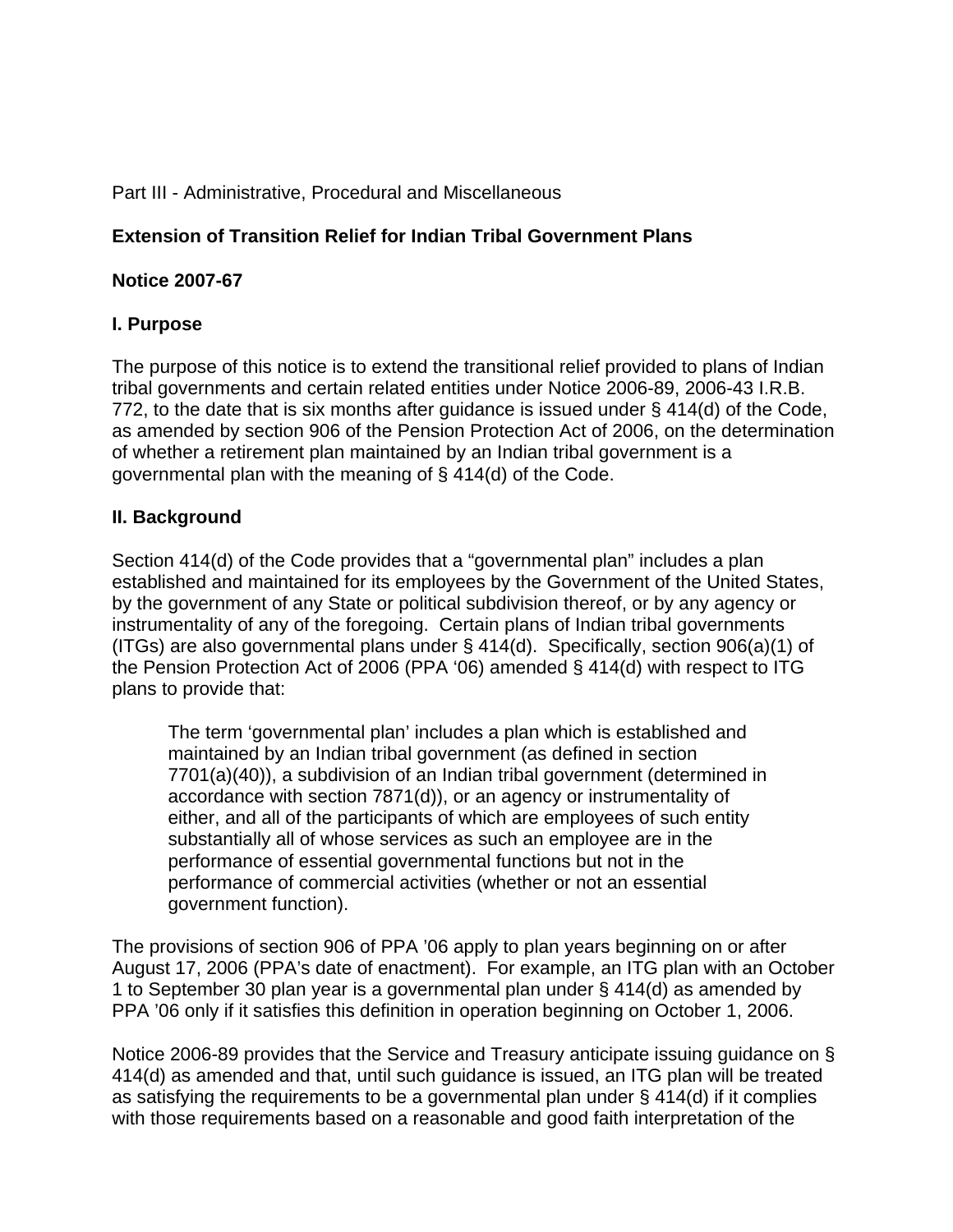#### Part III - Administrative, Procedural and Miscellaneous

## **Extension of Transition Relief for Indian Tribal Government Plans**

#### **Notice 2007-67**

## **I. Purpose**

The purpose of this notice is to extend the transitional relief provided to plans of Indian tribal governments and certain related entities under Notice 2006-89, 2006-43 I.R.B. 772, to the date that is six months after guidance is issued under § 414(d) of the Code, as amended by section 906 of the Pension Protection Act of 2006, on the determination of whether a retirement plan maintained by an Indian tribal government is a governmental plan with the meaning of § 414(d) of the Code.

#### **II. Background**

Section 414(d) of the Code provides that a "governmental plan" includes a plan established and maintained for its employees by the Government of the United States, by the government of any State or political subdivision thereof, or by any agency or instrumentality of any of the foregoing. Certain plans of Indian tribal governments (ITGs) are also governmental plans under § 414(d). Specifically, section 906(a)(1) of the Pension Protection Act of 2006 (PPA '06) amended § 414(d) with respect to ITG plans to provide that:

The term 'governmental plan' includes a plan which is established and maintained by an Indian tribal government (as defined in section 7701(a)(40)), a subdivision of an Indian tribal government (determined in accordance with section 7871(d)), or an agency or instrumentality of either, and all of the participants of which are employees of such entity substantially all of whose services as such an employee are in the performance of essential governmental functions but not in the performance of commercial activities (whether or not an essential government function).

The provisions of section 906 of PPA '06 apply to plan years beginning on or after August 17, 2006 (PPA's date of enactment). For example, an ITG plan with an October 1 to September 30 plan year is a governmental plan under § 414(d) as amended by PPA '06 only if it satisfies this definition in operation beginning on October 1, 2006.

Notice 2006-89 provides that the Service and Treasury anticipate issuing guidance on § 414(d) as amended and that, until such guidance is issued, an ITG plan will be treated as satisfying the requirements to be a governmental plan under § 414(d) if it complies with those requirements based on a reasonable and good faith interpretation of the